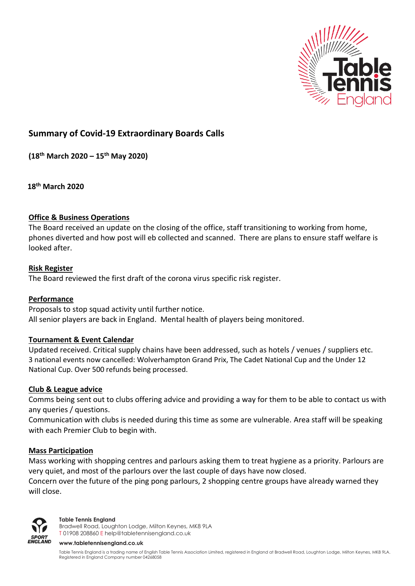

# **Summary of Covid-19 Extraordinary Boards Calls**

**(18th March 2020 – 15th May 2020)**

 **18th March 2020** 

# **Office & Business Operations**

The Board received an update on the closing of the office, staff transitioning to working from home, phones diverted and how post will eb collected and scanned. There are plans to ensure staff welfare is looked after.

#### **Risk Register**

The Board reviewed the first draft of the corona virus specific risk register.

#### **Performance**

Proposals to stop squad activity until further notice. All senior players are back in England. Mental health of players being monitored.

#### **Tournament & Event Calendar**

Updated received. Critical supply chains have been addressed, such as hotels / venues / suppliers etc. 3 national events now cancelled: Wolverhampton Grand Prix, The Cadet National Cup and the Under 12 National Cup. Over 500 refunds being processed.

#### **Club & League advice**

Comms being sent out to clubs offering advice and providing a way for them to be able to contact us with any queries / questions.

Communication with clubs is needed during this time as some are vulnerable. Area staff will be speaking with each Premier Club to begin with.

#### **Mass Participation**

Mass working with shopping centres and parlours asking them to treat hygiene as a priority. Parlours are very quiet, and most of the parlours over the last couple of days have now closed.

Concern over the future of the ping pong parlours, 2 shopping centre groups have already warned they will close.



#### **Table Tennis England**

Bradwell Road, Loughton Lodge, Milton Keynes, MK8 9LA T 01908 208860 [E help@tabletennisengland.co.uk](mailto:help@tabletennisengland.co.uk)

#### **[www.tabletennisengland.co.uk](http://www.tabletennisengland.co.uk/)**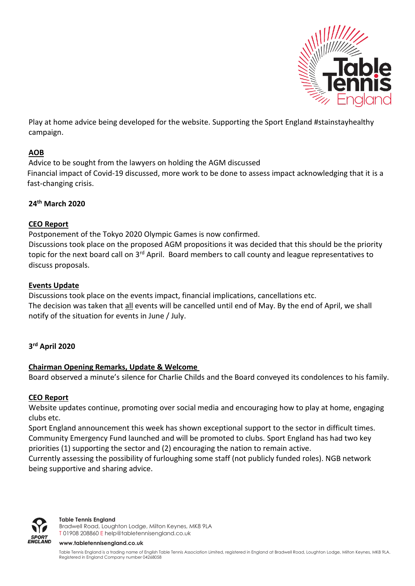

Play at home advice being developed for the website. Supporting the Sport England #stainstayhealthy campaign.

# **AOB**

Advice to be sought from the lawyers on holding the AGM discussed Financial impact of Covid-19 discussed, more work to be done to assess impact acknowledging that it is a fast-changing crisis.

# **24th March 2020**

# **CEO Report**

Postponement of the Tokyo 2020 Olympic Games is now confirmed.

Discussions took place on the proposed AGM propositions it was decided that this should be the priority topic for the next board call on 3<sup>rd</sup> April. Board members to call county and league representatives to discuss proposals.

# **Events Update**

Discussions took place on the events impact, financial implications, cancellations etc. The decision was taken that all events will be cancelled until end of May. By the end of April, we shall notify of the situation for events in June / July.

# **3 rd April 2020**

# **Chairman Opening Remarks, Update & Welcome**

Board observed a minute's silence for Charlie Childs and the Board conveyed its condolences to his family.

#### **CEO Report**

Website updates continue, promoting over social media and encouraging how to play at home, engaging clubs etc.

Sport England announcement this week has shown exceptional support to the sector in difficult times. Community Emergency Fund launched and will be promoted to clubs. Sport England has had two key priorities (1) supporting the sector and (2) encouraging the nation to remain active.

Currently assessing the possibility of furloughing some staff (not publicly funded roles). NGB network being supportive and sharing advice.



**Table Tennis England**

Bradwell Road, Loughton Lodge, Milton Keynes, MK8 9LA T 01908 208860 [E help@tabletennisengland.co.uk](mailto:help@tabletennisengland.co.uk)

**[www.tabletennisengland.co.uk](http://www.tabletennisengland.co.uk/)**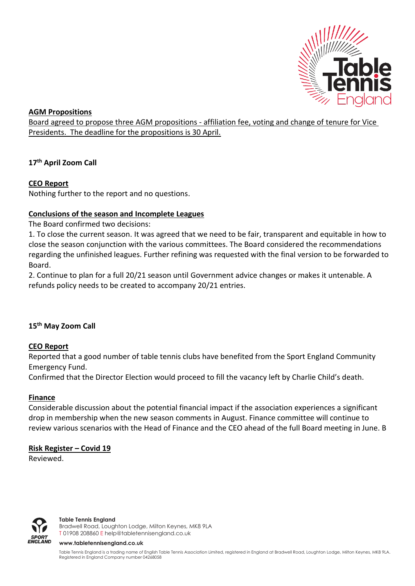

### **AGM Propositions**

Board agreed to propose three AGM propositions - affiliation fee, voting and change of tenure for Vice Presidents. The deadline for the propositions is 30 April.

# **17th April Zoom Call**

### **CEO Report**

Nothing further to the report and no questions.

#### **Conclusions of the season and Incomplete Leagues**

The Board confirmed two decisions:

1. To close the current season. It was agreed that we need to be fair, transparent and equitable in how to close the season conjunction with the various committees. The Board considered the recommendations regarding the unfinished leagues. Further refining was requested with the final version to be forwarded to Board.

2. Continue to plan for a full 20/21 season until Government advice changes or makes it untenable. A refunds policy needs to be created to accompany 20/21 entries.

# **15th May Zoom Call**

#### **CEO Report**

Reported that a good number of table tennis clubs have benefited from the Sport England Community Emergency Fund.

Confirmed that the Director Election would proceed to fill the vacancy left by Charlie Child's death.

#### **Finance**

Considerable discussion about the potential financial impact if the association experiences a significant drop in membership when the new season comments in August. Finance committee will continue to review various scenarios with the Head of Finance and the CEO ahead of the full Board meeting in June. B

#### **Risk Register – Covid 19**

Reviewed.



**Table Tennis England**

Bradwell Road, Loughton Lodge, Milton Keynes, MK8 9LA T 01908 208860 [E help@tabletennisengland.co.uk](mailto:help@tabletennisengland.co.uk)

#### **[www.tabletennisengland.co.uk](http://www.tabletennisengland.co.uk/)**